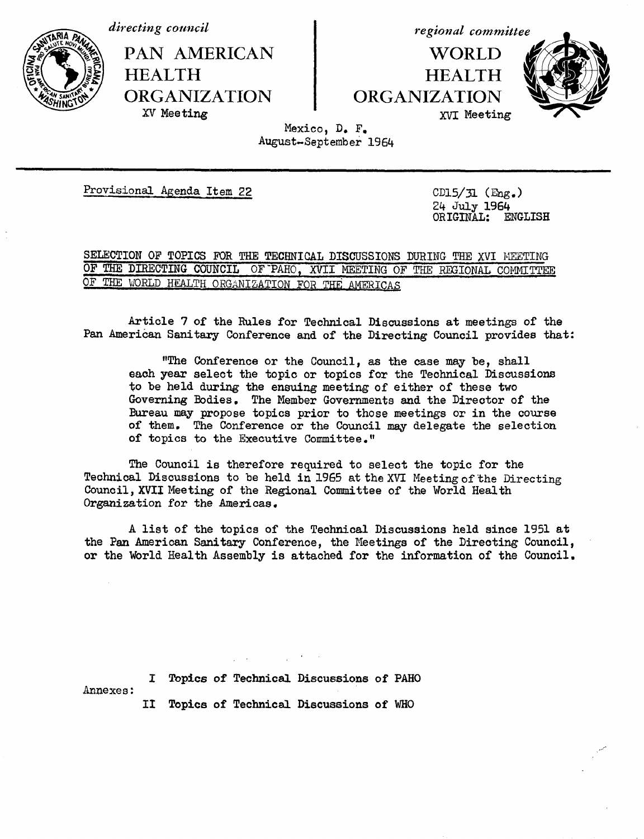*directing countcil*



PAN AMERICAN **HEALTH ORGANIZATION** XV Meeting

*regional committee*

**WORLD HEALTH ORGANIZATION** XVI Meeting



Mexico, D. F. August-September 1964

Provisional *Agenda* Item 22

CD15/31 (Eng.) 24 July 1964 ORIGINAL: ENGLISH

SELECTION OF TOPICS FOR THE TECHNICAL DISCUSSIONS DURING THE XVI MEETING OF THE DIRECTING COUNCIL OF PAHO, XVII MEETING OF THE REGIONAL COMMITTEE OF THE WORLD HEALTH ORGANIZATION FOR THE AMERICAS

Article 7 of the Rules for Technical Discussions at meetings of the Pan American Sanitary Conference and of the Directing Council provides that:

"The Conference or the Council, as the case may be, shall each year select the topic or topics for the Technical Discussions to be held during the ensuing meeting of either of these two Governing Bodies. The Member Governments and the Director of the Bureau may propose topics prior to those meetings or in the course of them. The Conference or the Council may delegate the selection of topics to the Executive Committee."

The Council is therefore required to select the topic for the Technical Discussions to be held in 1965 at the XVI Meeting of the Directing Council, XVII Meeting of the Regional Committee of the World Health Organization for the Americas.

A list of the topics of the Technical Discussions held since 1951 at the Pan American Sanitary Conference, the Meetings of the Directing Council, or the World Health Assembly is attached for the information of the Council.

Annexes: I Topics of Technical Discussions of PAHO II Topics of Technical Discussions of WHO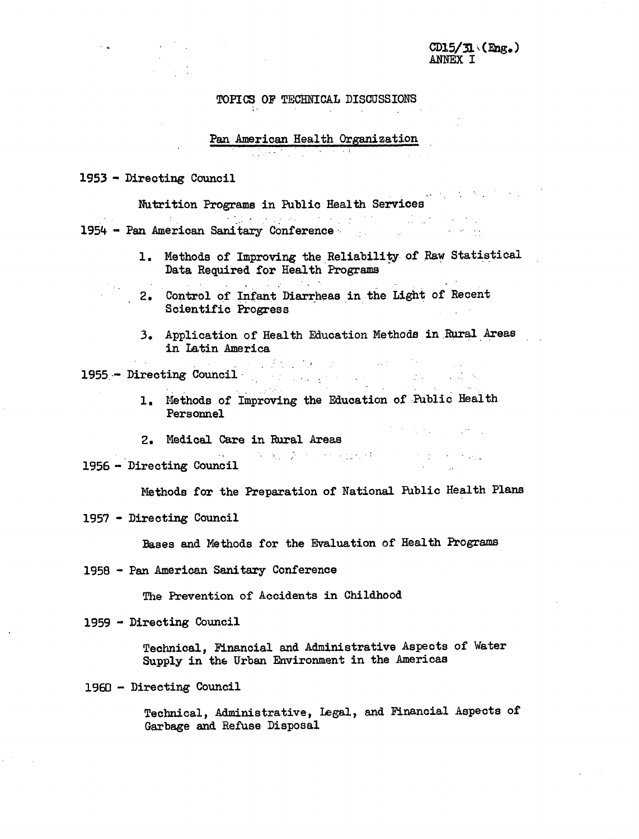## TOPICS OF TECHNICAL DISCUSSIONS

# Pan American Health Organization

1953 - Directing Council

Nutrition Programs in Public Health Services 1954 - Pan American Sanitary Conference-

- 1. Methods of Improving the Reliability of Raw Statistical Data Required for Health Programs
- 2. Control of.Infant Diarrheas in the Light of Recent Scientific Progress
	- 3. Application of Health Education Methods in.Rural Areas in Latin America

1955 - Directing Council ...

- 1, Methods of Improving the Education of Public Health Personnel
- 2. Medical Care in Rural Areas
- 1956 Directing Council

Methods for the Preparation of National Public Health Plans

 $\label{eq:2.1} \mathcal{N}=\mathbf{S}_{11}+\mathcal{D}=\mathcal{N}=\mathcal{N}=\{\mathbf{g},\mathbf{g},\mathbf{g},\mathbf{g},\mathbf{g},\mathbf{g},\mathbf{g},\mathbf{g},\mathbf{g},\mathbf{g},\mathbf{g},\mathbf{g},\mathbf{g},\mathbf{g},\mathbf{g},\mathbf{g},\mathbf{g},\mathbf{g},\mathbf{g},\mathbf{g},\mathbf{g},\mathbf{g},\mathbf{g},\mathbf{g},\mathbf{g},\mathbf{g},\mathbf{g},\mathbf{g},\mathbf{g},\mathbf$ 

 $\label{eq:2.1} \mathcal{L}^{(1)}(x) = \mathcal{L}^{(1)}(x) = \mathcal{L}^{(1)}(x) = \mathcal{L}^{(1)}(x) = \mathcal{L}^{(1)}(x)$ 

1957 - Directing Council

Bases and Methods for the Evaluation of Health Programs

1958 - Pan American Sanitary Conference

The Prevention of Accidents in Childhood

1959 - Directing Council

Technical, Financial and Administrative Aspects of Water Supply in the Urban Environment in the Americas

1960 - Directing Council

Technical, Administrative, Legal, and Financial Aspects of Garbage and Refuse Disposal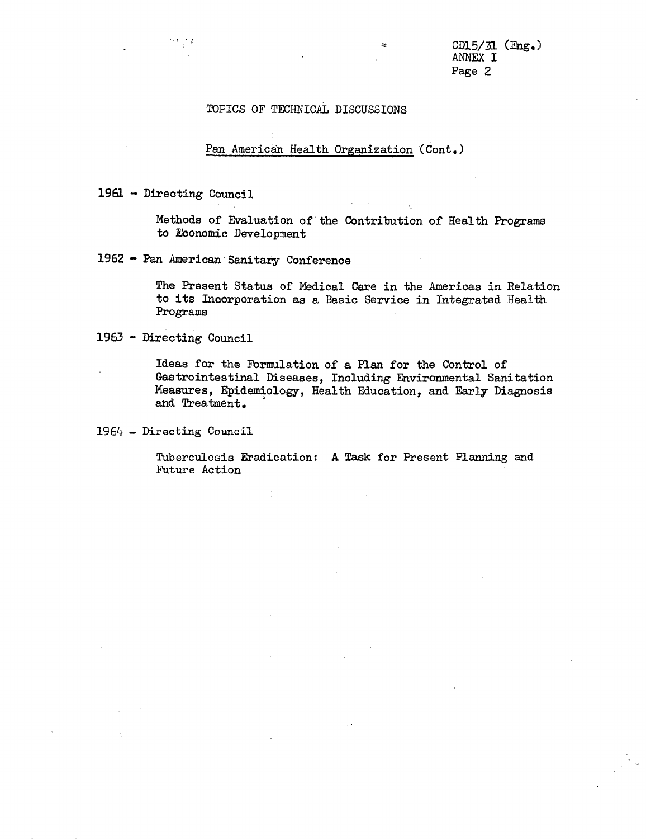### TOPICS OF TECHNICAL DISCUSSIONS

#### Pan American Health Organization (Cont.)

1961 - Directing Council

 $\frac{1}{2} \frac{1}{2} \frac{1}{2} \frac{1}{2} \frac{1}{2}$ 

Methods of Evaluation of the Contribution of Health Programs to Economic Development

1962 - Pan American Sanitary Conference

The Present Status of Medical Care in the Americas in Relation to its Incorporation as a Basic Service in Integrated Health Programs

1963 - Directing Council

Ideas for the Formulation of a Plan for the Control of Gastrointestinal Diseases, Including Environmental Sanitation Measures, Epidemiology, Health Education, and Early Diagnosis and Treatment.

1964 - Directing Council

Tuberculosis Eradication: A Task for Present Planning and Future Action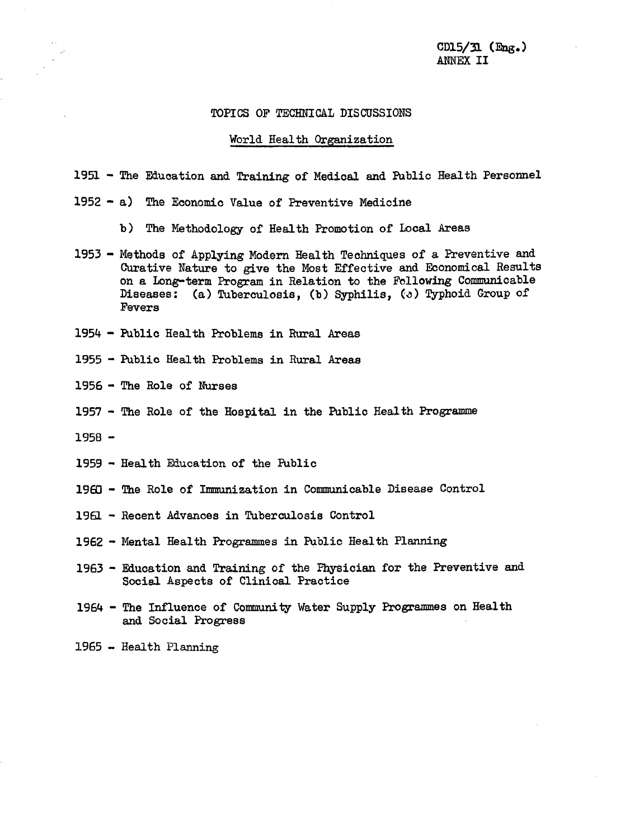$CD15/J1$  (Eng.) ANNEX II

### TOPICS OF TECHNICAL DISCUSSIONS

#### World Health Organization

1951 - The Education and Training of Medical and Public Health Personnel

- 1952 a) The Economic Value of Preventive Medicine
	- b) The Methodology of Health Promotion of Local Areas
- 1953 Methods of Applying Modern Health Techniques of a Preventive and Curative Nature to give the Most Effective and Economical Results on a Long-term Program in Relation to the Following Communicable Diseases: (a) Tuberculosis, (b) Syphilis, (c) Typhoid Group of Fevers
- 1954 Public Health Problems in Rural Areas
- 1955 Public Health Problems in Rural Areas
- 1956 The Role of Nurses
- 1957 The Role of the Hospital in the Public Health Programme
- 1958 -
- 1959 Health Education of the Public
- 1960 The Role of Immunization in Communicable Disease Control
- 1961 Recent Advances in Tuberculosis Control
- 1962 Mental Health Programmes in Public Health Planning
- 1963 Education and Training of the Physician for the Preventive and Social Aspects of Clinical Practice
- 1964 The Influence of Community Water Supply Programmes on Health and Social Progress

1965 - Health Planning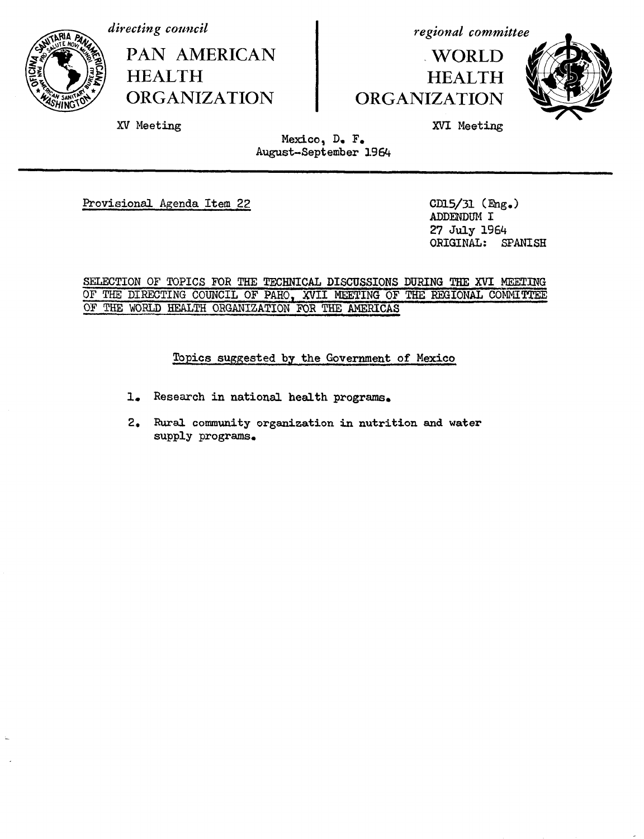

*directing council*

XV Meeting

**PAN AMERICAN HEALTH ORGANIZATION**

*regional committee*

### **WORLD HEALTH** ORGANIZATION



XVI **Meeting**

Mexico, D. F. August-September 1964

Provisional Agenda Item 22 CD15/31 (Eng.)

ADDENDUM I 27 July 1964<br>ORIGINAL: SPANISH ORIGINAL:

SELECTION OF TOPICS FOR THE TECHNICAL DISCUSSIONS DURING THE XVI MEETING OF THE DIRECTING COUNCIL OF PAHO, XVII MEETING OF THE REGIONAL COMMITTEE OF THE WORLD HEALTH ORGANIZATION FOR THE AMERICAS

Topics suggested by the Government of Mexico

1. Research in national health programs.

2. Rural community organization in nutrition and water supply programs.